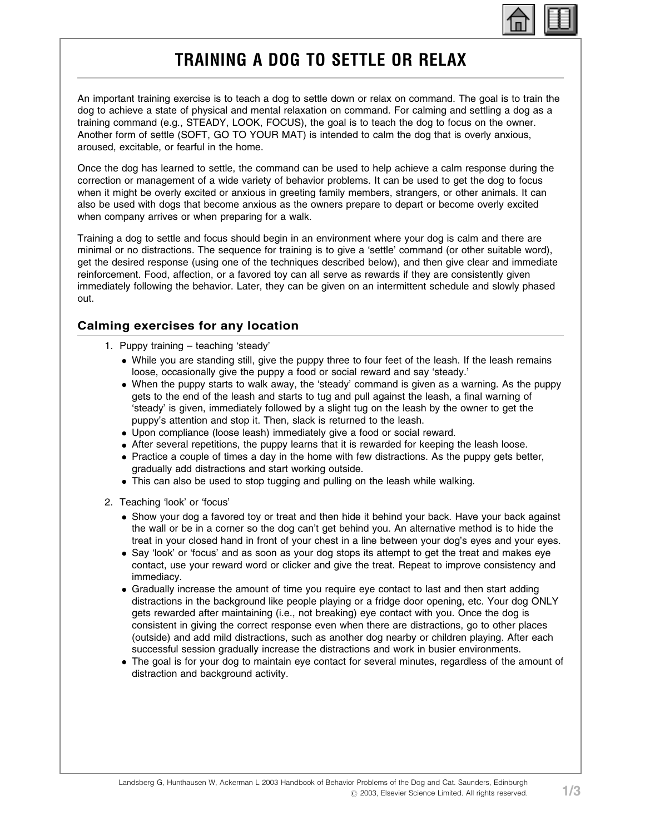

## TRAINING A DOG TO SETTLE OR RELAX

An important training exercise is to teach a dog to settle down or relax on command. The goal is to train the dog to achieve a state of physical and mental relaxation on command. For calming and settling a dog as a training command (e.g., STEADY, LOOK, FOCUS), the goal is to teach the dog to focus on the owner. Another form of settle (SOFT, GO TO YOUR MAT) is intended to calm the dog that is overly anxious, aroused, excitable, or fearful in the home.

Once the dog has learned to settle, the command can be used to help achieve a calm response during the correction or management of a wide variety of behavior problems. It can be used to get the dog to focus when it might be overly excited or anxious in greeting family members, strangers, or other animals. It can also be used with dogs that become anxious as the owners prepare to depart or become overly excited when company arrives or when preparing for a walk.

Training a dog to settle and focus should begin in an environment where your dog is calm and there are minimal or no distractions. The sequence for training is to give a 'settle' command (or other suitable word), get the desired response (using one of the techniques described below), and then give clear and immediate reinforcement. Food, affection, or a favored toy can all serve as rewards if they are consistently given immediately following the behavior. Later, they can be given on an intermittent schedule and slowly phased out.

## Calming exercises for any location

- 1. Puppy training teaching 'steady'
	- While you are standing still, give the puppy three to four feet of the leash. If the leash remains loose, occasionally give the puppy a food or social reward and say 'steady.'
	- When the puppy starts to walk away, the 'steady' command is given as a warning. As the puppy gets to the end of the leash and starts to tug and pull against the leash, a final warning of 'steady' is given, immediately followed by a slight tug on the leash by the owner to get the puppy's attention and stop it. Then, slack is returned to the leash.
	- Upon compliance (loose leash) immediately give a food or social reward.
	- After several repetitions, the puppy learns that it is rewarded for keeping the leash loose.
	- Practice a couple of times a day in the home with few distractions. As the puppy gets better, gradually add distractions and start working outside.
	- This can also be used to stop tugging and pulling on the leash while walking.
- 2. Teaching 'look' or 'focus'
	- Show your dog a favored toy or treat and then hide it behind your back. Have your back against the wall or be in a corner so the dog can't get behind you. An alternative method is to hide the treat in your closed hand in front of your chest in a line between your dog's eyes and your eyes.
	- Say 'look' or 'focus' and as soon as your dog stops its attempt to get the treat and makes eye contact, use your reward word or clicker and give the treat. Repeat to improve consistency and immediacy.
	- Gradually increase the amount of time you require eye contact to last and then start adding distractions in the background like people playing or a fridge door opening, etc. Your dog ONLY gets rewarded after maintaining (i.e., not breaking) eye contact with you. Once the dog is consistent in giving the correct response even when there are distractions, go to other places (outside) and add mild distractions, such as another dog nearby or children playing. After each successful session gradually increase the distractions and work in busier environments.
	- The goal is for your dog to maintain eye contact for several minutes, regardless of the amount of distraction and background activity.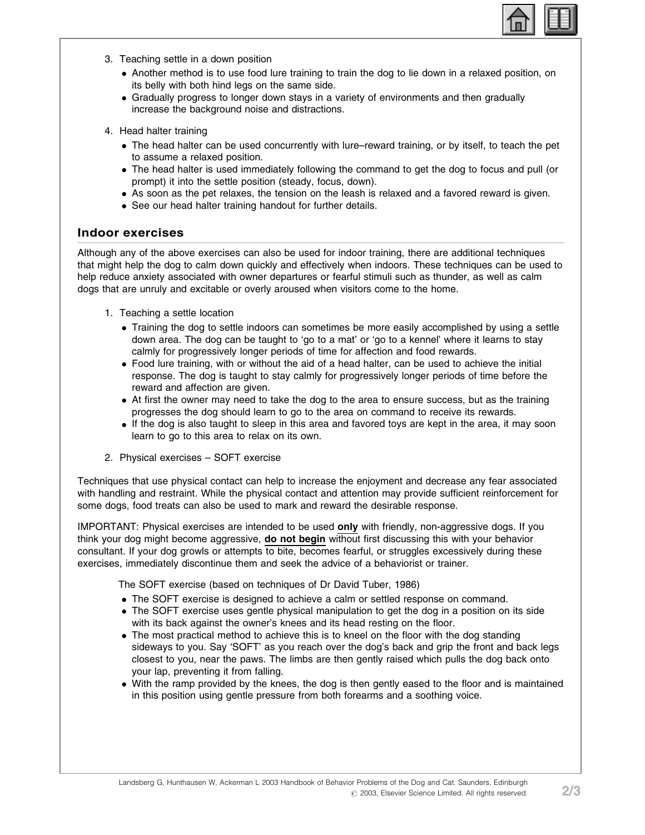

- 3. Teaching settle in a down position
	- Another method is to use food lure training to train the dog to lie down in a relaxed position, on its belly with both hind legs on the same side.
	- \* Gradually progress to longer down stays in a variety of environments and then gradually increase the background noise and distractions.
- 4. Head halter training
	- The head halter can be used concurrently with lure–reward training, or by itself, to teach the pet to assume a relaxed position.
	- The head halter is used immediately following the command to get the dog to focus and pull (or prompt) it into the settle position (steady, focus, down).
	- As soon as the pet relaxes, the tension on the leash is relaxed and a favored reward is given.
	- See our head halter training handout for further details.

## Indoor exercises

Although any of the above exercises can also be used for indoor training, there are additional techniques that might help the dog to calm down quickly and effectively when indoors. These techniques can be used to help reduce anxiety associated with owner departures or fearful stimuli such as thunder, as well as calm dogs that are unruly and excitable or overly aroused when visitors come to the home.

- 1. Teaching a settle location
	- Training the dog to settle indoors can sometimes be more easily accomplished by using a settle down area. The dog can be taught to 'go to a mat' or 'go to a kennel' where it learns to stay calmly for progressively longer periods of time for affection and food rewards.
	- Food lure training, with or without the aid of a head halter, can be used to achieve the initial response. The dog is taught to stay calmly for progressively longer periods of time before the reward and affection are given.
	- At first the owner may need to take the dog to the area to ensure success, but as the training progresses the dog should learn to go to the area on command to receive its rewards.
	- If the dog is also taught to sleep in this area and favored toys are kept in the area, it may soon learn to go to this area to relax on its own.
- 2. Physical exercises SOFT exercise

Techniques that use physical contact can help to increase the enjoyment and decrease any fear associated with handling and restraint. While the physical contact and attention may provide sufficient reinforcement for some dogs, food treats can also be used to mark and reward the desirable response.

IMPORTANT: Physical exercises are intended to be used only with friendly, non-aggressive dogs. If you think your dog might become aggressive, do not begin without first discussing this with your behavior consultant. If your dog growls or attempts to bite, becomes fearful, or struggles excessively during these exercises, immediately discontinue them and seek the advice of a behaviorist or trainer.

The SOFT exercise (based on techniques of Dr David Tuber, 1986)

- The SOFT exercise is designed to achieve a calm or settled response on command.
- The SOFT exercise uses gentle physical manipulation to get the dog in a position on its side with its back against the owner's knees and its head resting on the floor.
- The most practical method to achieve this is to kneel on the floor with the dog standing sideways to you. Say 'SOFT' as you reach over the dog's back and grip the front and back legs closest to you, near the paws. The limbs are then gently raised which pulls the dog back onto your lap, preventing it from falling.
- With the ramp provided by the knees, the dog is then gently eased to the floor and is maintained in this position using gentle pressure from both forearms and a soothing voice.